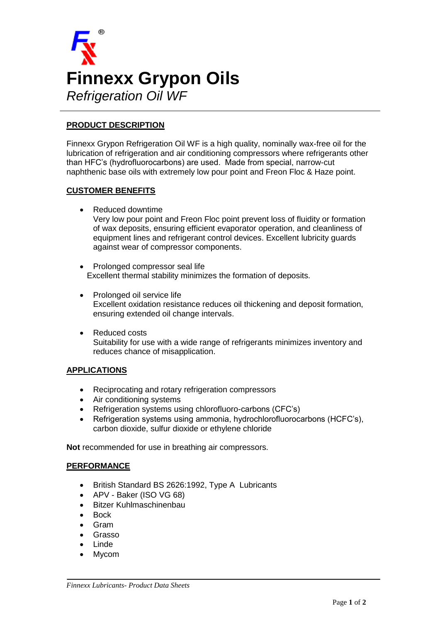

# **PRODUCT DESCRIPTION**

Finnexx Grypon Refrigeration Oil WF is a high quality, nominally wax-free oil for the lubrication of refrigeration and air conditioning compressors where refrigerants other than HFC's (hydrofluorocarbons) are used. Made from special, narrow-cut naphthenic base oils with extremely low pour point and Freon Floc & Haze point.

### **CUSTOMER BENEFITS**

Reduced downtime

Very low pour point and Freon Floc point prevent loss of fluidity or formation of wax deposits, ensuring efficient evaporator operation, and cleanliness of equipment lines and refrigerant control devices. Excellent lubricity guards against wear of compressor components.

- Prolonged compressor seal life Excellent thermal stability minimizes the formation of deposits.
- Prolonged oil service life Excellent oxidation resistance reduces oil thickening and deposit formation, ensuring extended oil change intervals.
- Reduced costs Suitability for use with a wide range of refrigerants minimizes inventory and reduces chance of misapplication.

#### **APPLICATIONS**

- Reciprocating and rotary refrigeration compressors
- Air conditioning systems
- Refrigeration systems using chlorofluoro-carbons (CFC's)
- Refrigeration systems using ammonia, hydrochlorofluorocarbons (HCFC's), carbon dioxide, sulfur dioxide or ethylene chloride

**Not** recommended for use in breathing air compressors.

#### **PERFORMANCE**

- British Standard BS 2626:1992, Type A Lubricants
- APV Baker (ISO VG 68)
- Bitzer Kuhlmaschinenbau
- **Bock**
- Gram
- Grasso
- Linde
- Mycom